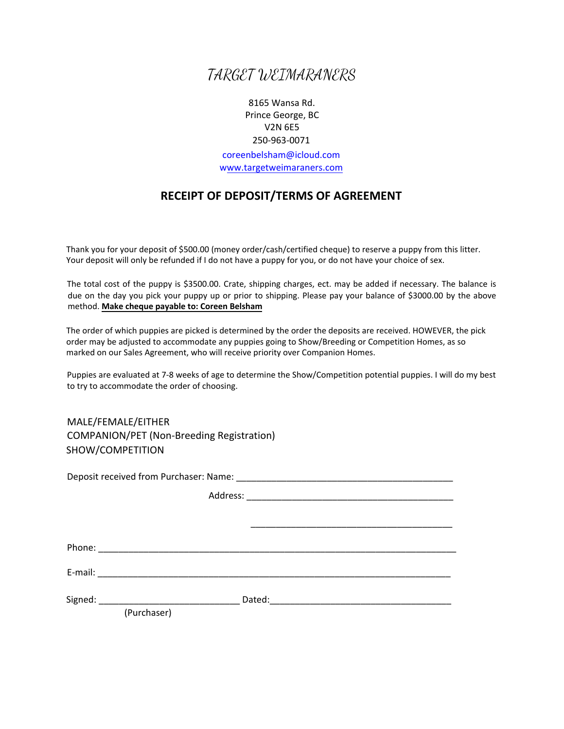## TARGET WEIMARANERS

8165 Wansa Rd. Prince George, BC V2N 6E5 250-963-0071 coreenbelsham@icloud.com www.targetweimaraners.com

## **RECEIPT OF DEPOSIT/TERMS OF AGREEMENT**

Thank you for your deposit of \$500.00 (money order/cash/certified cheque) to reserve a puppy from this litter. Your deposit will only be refunded if I do not have a puppy for you, or do not have your choice of sex.

The total cost of the puppy is \$3500.00. Crate, shipping charges, ect. may be added if necessary. The balance is due on the day you pick your puppy up or prior to shipping. Please pay your balance of \$3000.00 by the above method. **Make cheque payable to: Coreen Belsham** 

The order of which puppies are picked is determined by the order the deposits are received. HOWEVER, the pick order may be adjusted to accommodate any puppies going to Show/Breeding or Competition Homes, as so marked on our Sales Agreement, who will receive priority over Companion Homes.

Puppies are evaluated at 7-8 weeks of age to determine the Show/Competition potential puppies. I will do my best to try to accommodate the order of choosing.

MALE/FEMALE/EITHER COMPANION/PET (Non-Breeding Registration) SHOW/COMPETITION

Deposit received from Purchaser: Name:  $\Box$ 

Address: \_\_\_\_\_\_\_\_\_\_\_\_\_\_\_\_\_\_\_\_\_\_\_\_\_\_\_\_\_\_\_\_\_\_\_\_\_\_\_\_\_ \_\_\_\_\_\_\_\_\_\_\_\_\_\_\_\_\_\_\_\_\_\_\_\_\_\_\_\_\_\_\_\_\_\_\_\_\_\_\_\_ Phone:  $\blacksquare$ E-mail: \_\_\_\_\_\_\_\_\_\_\_\_\_\_\_\_\_\_\_\_\_\_\_\_\_\_\_\_\_\_\_\_\_\_\_\_\_\_\_\_\_\_\_\_\_\_\_\_\_\_\_\_\_\_\_\_\_\_\_\_\_\_\_\_\_\_\_\_\_\_ Signed: \_\_\_\_\_\_\_\_\_\_\_\_\_\_\_\_\_\_\_\_\_\_\_\_\_\_\_\_ Dated:\_\_\_\_\_\_\_\_\_\_\_\_\_\_\_\_\_\_\_\_\_\_\_\_\_\_\_\_\_\_\_\_\_\_\_\_ (Purchaser)